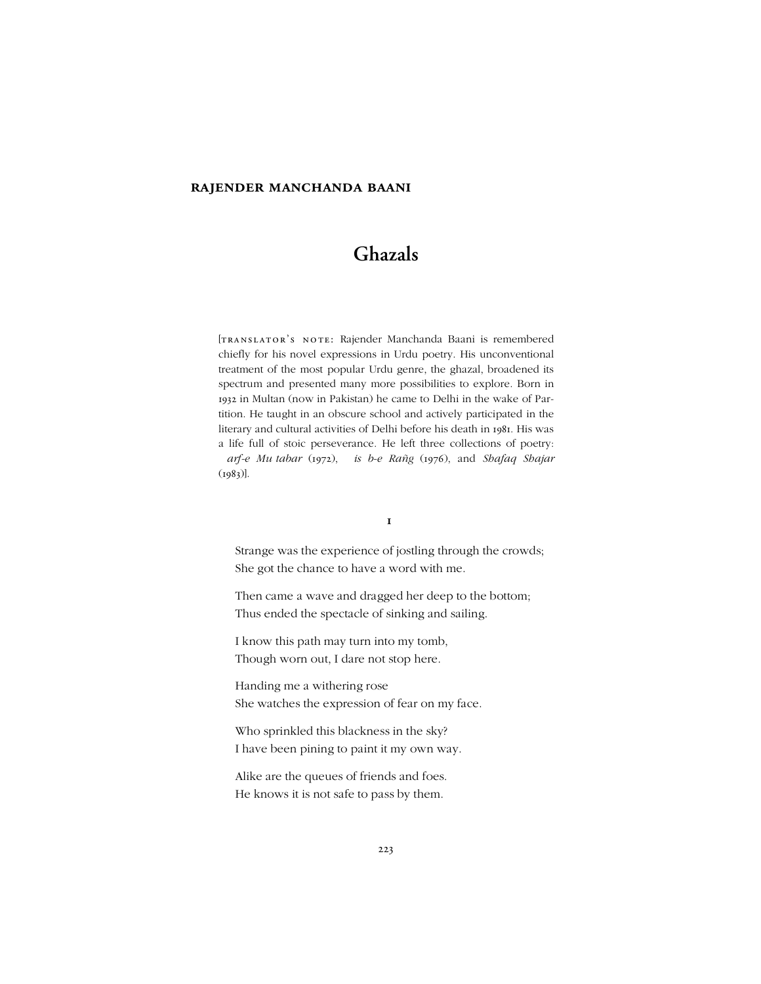# **rajender manchanda baani**

# **Ghazals**

[TRANSLATOR'S NOTE: Rajender Manchanda Baani is remembered chiefly for his novel expressions in Urdu poetry. His unconventional treatment of the most popular Urdu genre, the ghazal, broadened its spectrum and presented many more possibilities to explore. Born in 1932 in Multan (now in Pakistan) he came to Delhi in the wake of Partition. He taught in an obscure school and actively participated in the literary and cultural activities of Delhi before his death in 1981. His was a life full of stoic perseverance. He left three collections of poetry: *!arf-e Mu"tabar* (1972), *!is#b-e Rañg* (1976), and *Shafaq Shajar* (1983)].

#### **1**

Strange was the experience of jostling through the crowds; She got the chance to have a word with me.

Then came a wave and dragged her deep to the bottom; Thus ended the spectacle of sinking and sailing.

I know this path may turn into my tomb, Though worn out, I dare not stop here.

Handing me a withering rose She watches the expression of fear on my face.

Who sprinkled this blackness in the sky? I have been pining to paint it my own way.

Alike are the queues of friends and foes. He knows it is not safe to pass by them.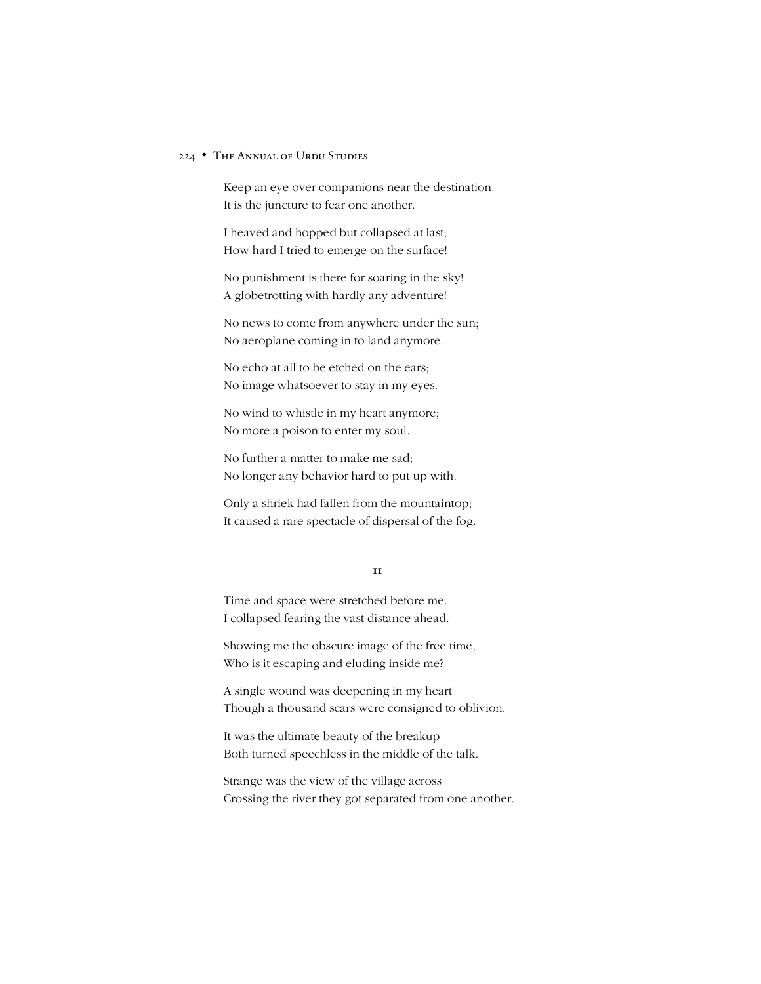Keep an eye over companions near the destination. It is the juncture to fear one another.

I heaved and hopped but collapsed at last; How hard I tried to emerge on the surface!

No punishment is there for soaring in the sky! A globetrotting with hardly any adventure!

No news to come from anywhere under the sun; No aeroplane coming in to land anymore.

No echo at all to be etched on the ears; No image whatsoever to stay in my eyes.

No wind to whistle in my heart anymore; No more a poison to enter my soul.

No further a matter to make me sad; No longer any behavior hard to put up with.

Only a shriek had fallen from the mountaintop; It caused a rare spectacle of dispersal of the fog.

**11**

Time and space were stretched before me. I collapsed fearing the vast distance ahead.

Showing me the obscure image of the free time, Who is it escaping and eluding inside me?

A single wound was deepening in my heart Though a thousand scars were consigned to oblivion.

It was the ultimate beauty of the breakup Both turned speechless in the middle of the talk.

Strange was the view of the village across Crossing the river they got separated from one another.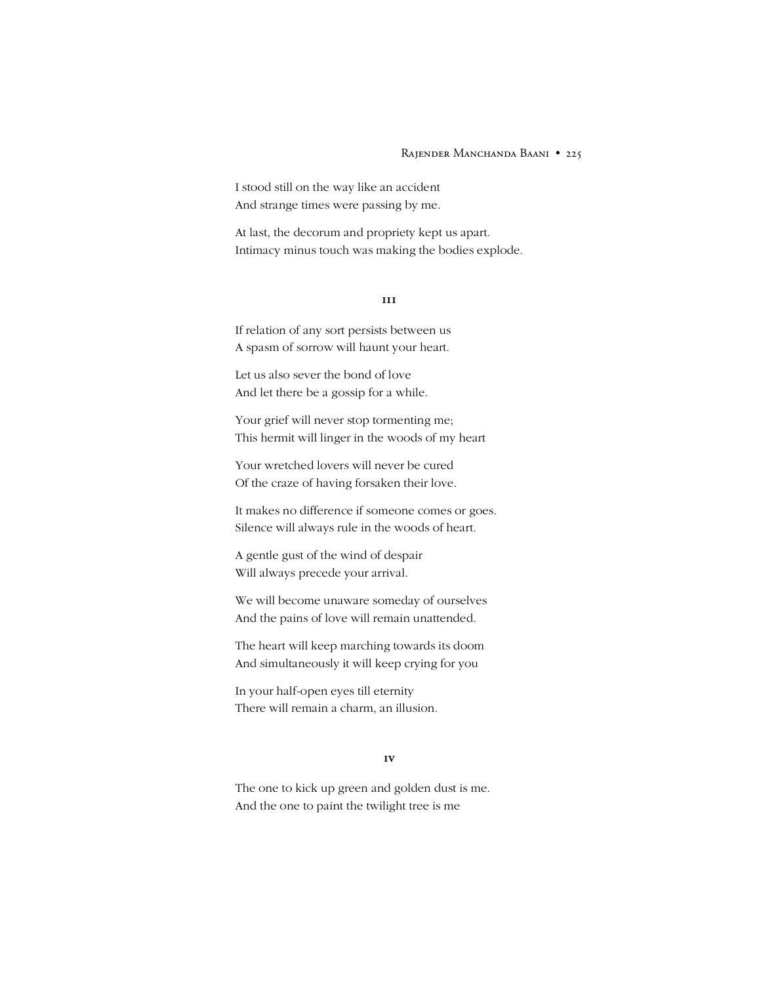#### RAJENDER MANCHANDA BAANI • 225

I stood still on the way like an accident And strange times were passing by me.

At last, the decorum and propriety kept us apart. Intimacy minus touch was making the bodies explode.

#### **111**

If relation of any sort persists between us A spasm of sorrow will haunt your heart.

Let us also sever the bond of love And let there be a gossip for a while.

Your grief will never stop tormenting me; This hermit will linger in the woods of my heart

Your wretched lovers will never be cured Of the craze of having forsaken their love.

It makes no difference if someone comes or goes. Silence will always rule in the woods of heart.

A gentle gust of the wind of despair Will always precede your arrival.

We will become unaware someday of ourselves And the pains of love will remain unattended.

The heart will keep marching towards its doom And simultaneously it will keep crying for you

In your half-open eyes till eternity There will remain a charm, an illusion.

# **1v**

The one to kick up green and golden dust is me. And the one to paint the twilight tree is me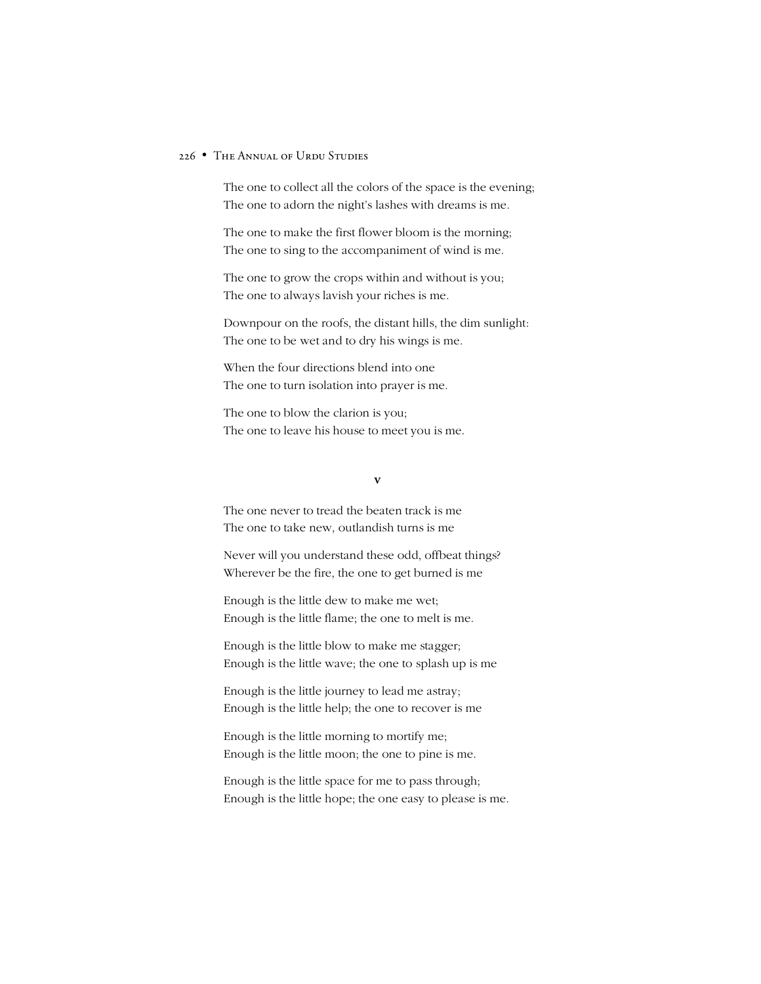The one to collect all the colors of the space is the evening; The one to adorn the night's lashes with dreams is me.

The one to make the first flower bloom is the morning; The one to sing to the accompaniment of wind is me.

The one to grow the crops within and without is you; The one to always lavish your riches is me.

Downpour on the roofs, the distant hills, the dim sunlight: The one to be wet and to dry his wings is me.

When the four directions blend into one The one to turn isolation into prayer is me.

The one to blow the clarion is you; The one to leave his house to meet you is me.

#### **v**

The one never to tread the beaten track is me The one to take new, outlandish turns is me

Never will you understand these odd, offbeat things? Wherever be the fire, the one to get burned is me

Enough is the little dew to make me wet; Enough is the little flame; the one to melt is me.

Enough is the little blow to make me stagger; Enough is the little wave; the one to splash up is me

Enough is the little journey to lead me astray; Enough is the little help; the one to recover is me

Enough is the little morning to mortify me; Enough is the little moon; the one to pine is me.

Enough is the little space for me to pass through; Enough is the little hope; the one easy to please is me.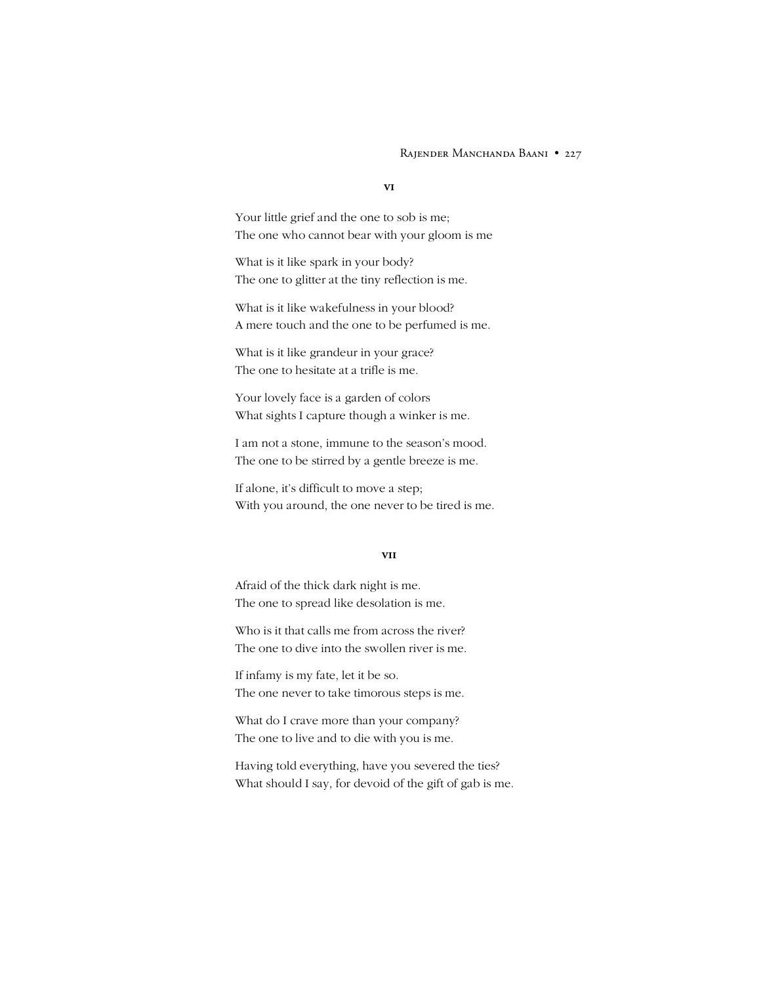### RAJENDER MANCHANDA BAANI • 227

#### **vi**

Your little grief and the one to sob is me; The one who cannot bear with your gloom is me

What is it like spark in your body? The one to glitter at the tiny reflection is me.

What is it like wakefulness in your blood? A mere touch and the one to be perfumed is me.

What is it like grandeur in your grace? The one to hesitate at a trifle is me.

Your lovely face is a garden of colors What sights I capture though a winker is me.

I am not a stone, immune to the season's mood. The one to be stirred by a gentle breeze is me.

If alone, it's difficult to move a step; With you around, the one never to be tired is me.

#### **vii**

Afraid of the thick dark night is me. The one to spread like desolation is me.

Who is it that calls me from across the river? The one to dive into the swollen river is me.

If infamy is my fate, let it be so. The one never to take timorous steps is me.

What do I crave more than your company? The one to live and to die with you is me.

Having told everything, have you severed the ties? What should I say, for devoid of the gift of gab is me.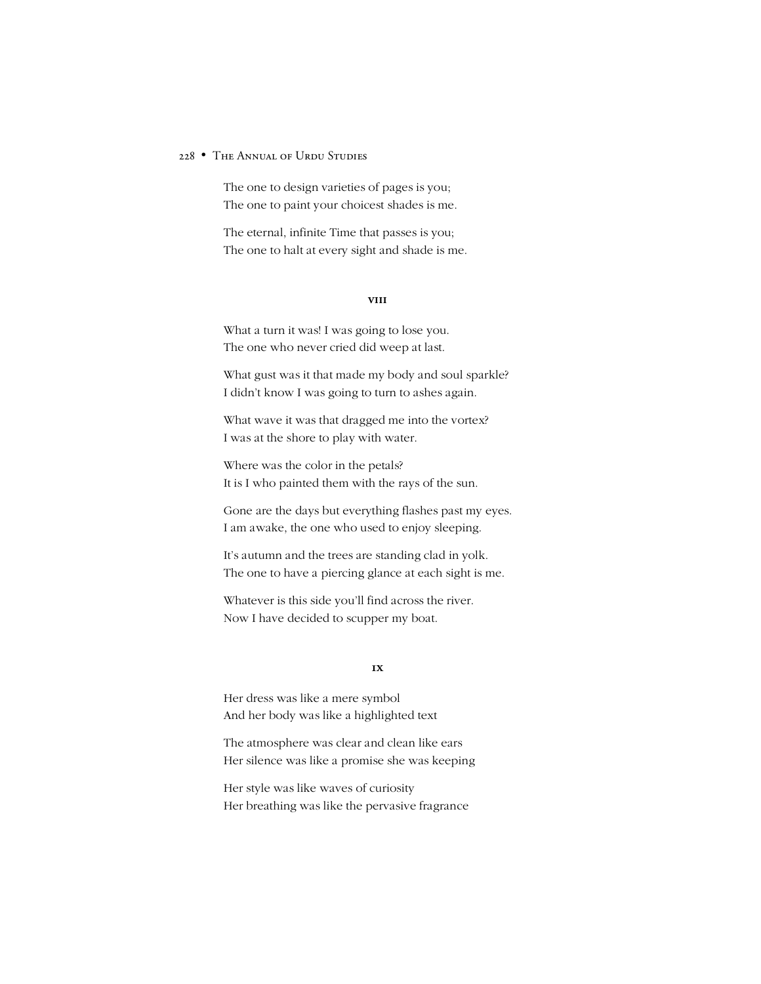The one to design varieties of pages is you; The one to paint your choicest shades is me.

The eternal, infinite Time that passes is you; The one to halt at every sight and shade is me.

# **viii**

What a turn it was! I was going to lose you. The one who never cried did weep at last.

What gust was it that made my body and soul sparkle? I didn't know I was going to turn to ashes again.

What wave it was that dragged me into the vortex? I was at the shore to play with water.

Where was the color in the petals? It is I who painted them with the rays of the sun.

Gone are the days but everything flashes past my eyes. I am awake, the one who used to enjoy sleeping.

It's autumn and the trees are standing clad in yolk. The one to have a piercing glance at each sight is me.

Whatever is this side you'll find across the river. Now I have decided to scupper my boat.

### **1x**

Her dress was like a mere symbol And her body was like a highlighted text

The atmosphere was clear and clean like ears Her silence was like a promise she was keeping

Her style was like waves of curiosity Her breathing was like the pervasive fragrance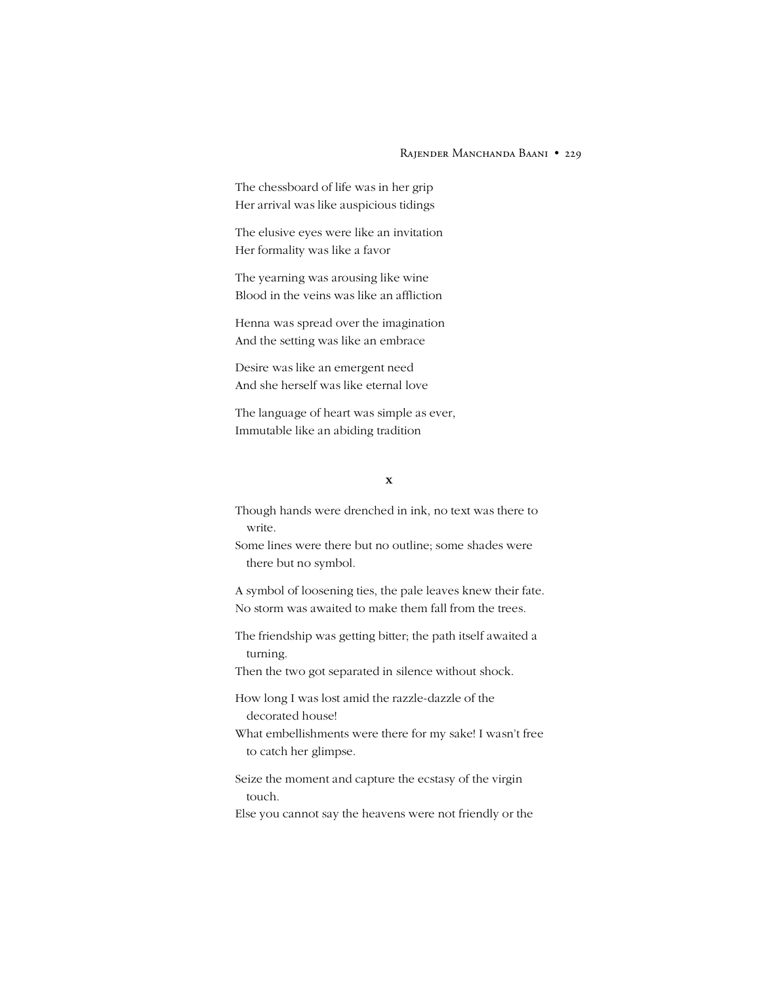#### RAJENDER MANCHANDA BAANI • 229

The chessboard of life was in her grip Her arrival was like auspicious tidings

The elusive eyes were like an invitation Her formality was like a favor

The yearning was arousing like wine Blood in the veins was like an affliction

Henna was spread over the imagination And the setting was like an embrace

Desire was like an emergent need And she herself was like eternal love

The language of heart was simple as ever, Immutable like an abiding tradition

# **x**

Though hands were drenched in ink, no text was there to write.

Some lines were there but no outline; some shades were there but no symbol.

A symbol of loosening ties, the pale leaves knew their fate. No storm was awaited to make them fall from the trees.

The friendship was getting bitter; the path itself awaited a turning.

Then the two got separated in silence without shock.

How long I was lost amid the razzle-dazzle of the decorated house!

What embellishments were there for my sake! I wasn't free to catch her glimpse.

Seize the moment and capture the ecstasy of the virgin touch.

Else you cannot say the heavens were not friendly or the